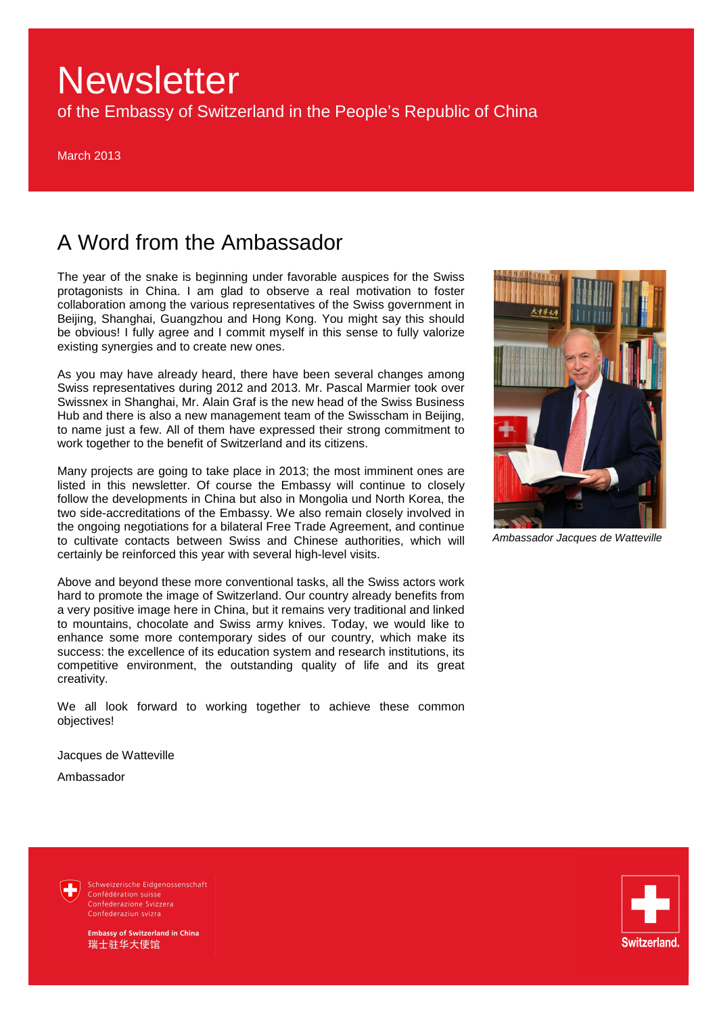of the Embassy of Switzerland in the People's Republic of China

March 2013

# A Word from the Ambassador

The year of the snake is beginning under favorable auspices for the Swiss protagonists in China. I am glad to observe a real motivation to foster collaboration among the various representatives of the Swiss government in Beijing, Shanghai, Guangzhou and Hong Kong. You might say this should be obvious! I fully agree and I commit myself in this sense to fully valorize existing synergies and to create new ones.

As you may have already heard, there have been several changes among Swiss representatives during 2012 and 2013. Mr. Pascal Marmier took over Swissnex in Shanghai, Mr. Alain Graf is the new head of the Swiss Business Hub and there is also a new management team of the Swisscham in Beijing, to name just a few. All of them have expressed their strong commitment to work together to the benefit of Switzerland and its citizens.

Many projects are going to take place in 2013; the most imminent ones are listed in this newsletter. Of course the Embassy will continue to closely follow the developments in China but also in Mongolia und North Korea, the two side-accreditations of the Embassy. We also remain closely involved in the ongoing negotiations for a bilateral Free Trade Agreement, and continue to cultivate contacts between Swiss and Chinese authorities, which will certainly be reinforced this year with several high-level visits.

Above and beyond these more conventional tasks, all the Swiss actors work hard to promote the image of Switzerland. Our country already benefits from a very positive image here in China, but it remains very traditional and linked to mountains, chocolate and Swiss army knives. Today, we would like to enhance some more contemporary sides of our country, which make its success: the excellence of its education system and research institutions, its competitive environment, the outstanding quality of life and its great creativity.

We all look forward to working together to achieve these common objectives!

Jacques de Watteville

Ambassador



Ambassador Jacques de Watteville

Schweizerische Eidgenossenschaft Confédération suisse Confederazione Svizzera Confederaziun svizra

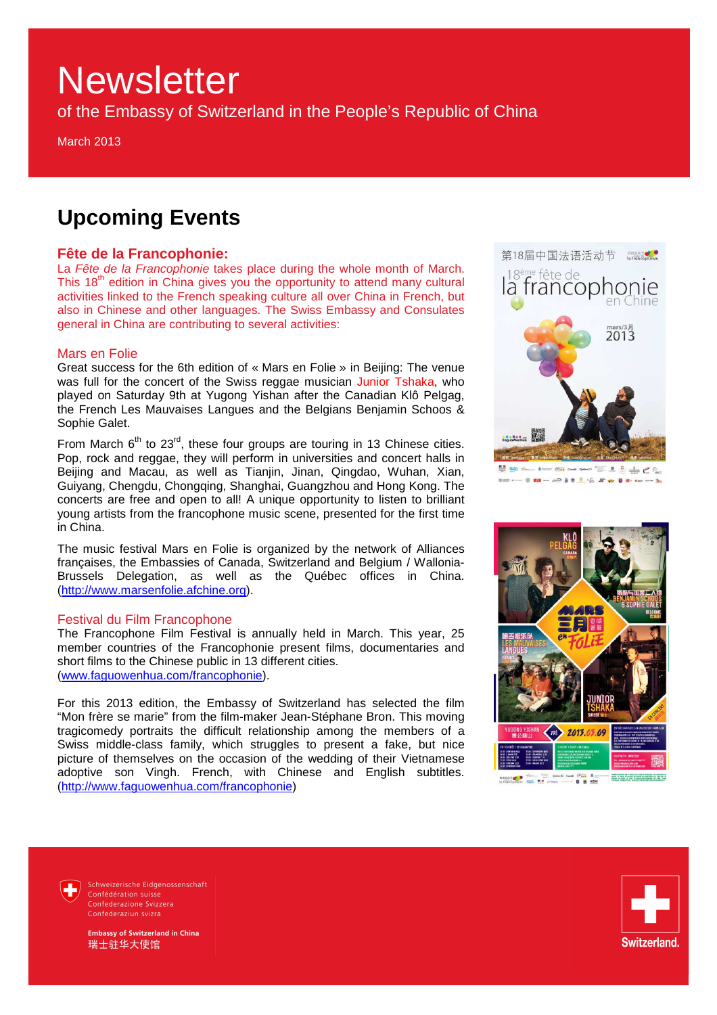of the Embassy of Switzerland in the People's Republic of China

March 2013

# **Upcoming Events**

## **Fête de la Francophonie:**

La Fête de la Francophonie takes place during the whole month of March. This  $18<sup>th</sup>$  edition in China gives you the opportunity to attend many cultural activities linked to the French speaking culture all over China in French, but also in Chinese and other languages. The Swiss Embassy and Consulates general in China are contributing to several activities:

## Mars en Folie

Great success for the 6th edition of « Mars en Folie » in Beijing: The venue was full for the concert of the Swiss reggae musician Junior Tshaka, who played on Saturday 9th at Yugong Yishan after the Canadian Klô Pelgag, the French Les Mauvaises Langues and the Belgians Benjamin Schoos & Sophie Galet.

From March  $6<sup>th</sup>$  to 23<sup>rd</sup>, these four groups are touring in 13 Chinese cities. Pop, rock and reggae, they will perform in universities and concert halls in Beijing and Macau, as well as Tianjin, Jinan, Qingdao, Wuhan, Xian, Guiyang, Chengdu, Chongqing, Shanghai, Guangzhou and Hong Kong. The concerts are free and open to all! A unique opportunity to listen to brilliant young artists from the francophone music scene, presented for the first time in China.

The music festival Mars en Folie is organized by the network of Alliances françaises, the Embassies of Canada, Switzerland and Belgium / Wallonia-Brussels Delegation, as well as the Québec offices in China. (http://www.marsenfolie.afchine.org).

## Festival du Film Francophone

The Francophone Film Festival is annually held in March. This year, 25 member countries of the Francophonie present films, documentaries and short films to the Chinese public in 13 different cities. (www.faguowenhua.com/francophonie).

For this 2013 edition, the Embassy of Switzerland has selected the film "Mon frère se marie" from the film-maker Jean-Stéphane Bron. This moving tragicomedy portraits the difficult relationship among the members of a Swiss middle-class family, which struggles to present a fake, but nice picture of themselves on the occasion of the wedding of their Vietnamese adoptive son Vingh. French, with Chinese and English subtitles. (http://www.faguowenhua.com/francophonie)



- 8 mm - 2 2 2 5 5 5 5 mm B + cm +





Switzerland.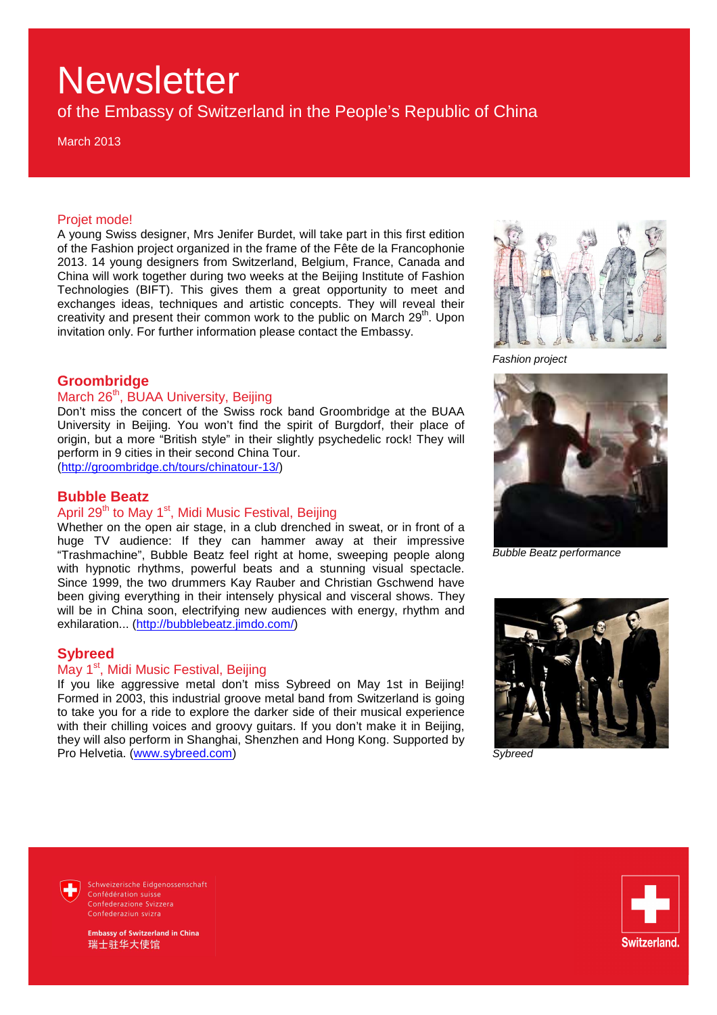of the Embassy of Switzerland in the People's Republic of China

March 2013

#### Projet mode!

A young Swiss designer, Mrs Jenifer Burdet, will take part in this first edition of the Fashion project organized in the frame of the Fête de la Francophonie 2013. 14 young designers from Switzerland, Belgium, France, Canada and China will work together during two weeks at the Beijing Institute of Fashion Technologies (BIFT). This gives them a great opportunity to meet and exchanges ideas, techniques and artistic concepts. They will reveal their creativity and present their common work to the public on March  $29<sup>th</sup>$ . Upon invitation only. For further information please contact the Embassy.



Fashion project

# **Groombridge**

# March 26<sup>th</sup>, BUAA University, Beijing

Don't miss the concert of the Swiss rock band Groombridge at the BUAA University in Beijing. You won't find the spirit of Burgdorf, their place of origin, but a more "British style" in their slightly psychedelic rock! They will perform in 9 cities in their second China Tour. (http://groombridge.ch/tours/chinatour-13/)

## **Bubble Beatz**

## April 29<sup>th</sup> to May 1<sup>st</sup>, Midi Music Festival, Beijing

Whether on the open air stage, in a club drenched in sweat, or in front of a huge TV audience: If they can hammer away at their impressive "Trashmachine", Bubble Beatz feel right at home, sweeping people along with hypnotic rhythms, powerful beats and a stunning visual spectacle. Since 1999, the two drummers Kay Rauber and Christian Gschwend have been giving everything in their intensely physical and visceral shows. They will be in China soon, electrifying new audiences with energy, rhythm and exhilaration... (http://bubblebeatz.jimdo.com/)

### **Sybreed**

## May 1<sup>st</sup>, Midi Music Festival, Beijing

If you like aggressive metal don't miss Sybreed on May 1st in Beijing! Formed in 2003, this industrial groove metal band from Switzerland is going to take you for a ride to explore the darker side of their musical experience with their chilling voices and groovy guitars. If you don't make it in Beijing, they will also perform in Shanghai, Shenzhen and Hong Kong. Supported by Pro Helvetia. (www.sybreed.com)



Bubble Beatz performance



Sybreed

Schweizerische Eidgenossenschaft



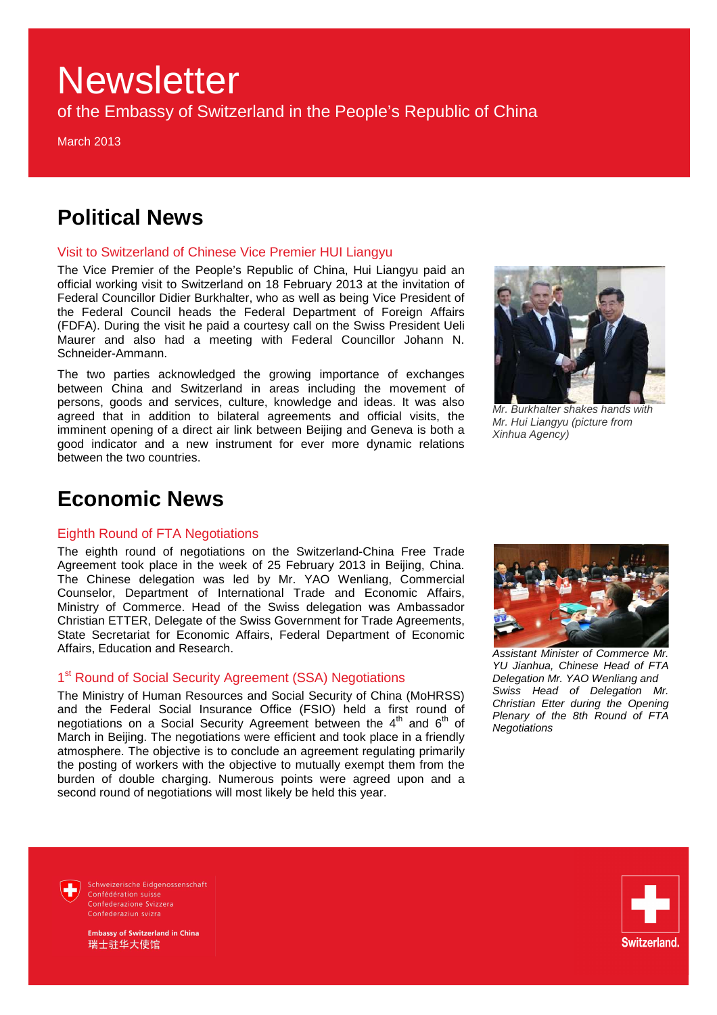of the Embassy of Switzerland in the People's Republic of China

March 2013

# **Political News**

## Visit to Switzerland of Chinese Vice Premier HUI Liangyu

The Vice Premier of the People's Republic of China, Hui Liangyu paid an official working visit to Switzerland on 18 February 2013 at the invitation of Federal Councillor Didier Burkhalter, who as well as being Vice President of the Federal Council heads the Federal Department of Foreign Affairs (FDFA). During the visit he paid a courtesy call on the Swiss President Ueli Maurer and also had a meeting with Federal Councillor Johann N. Schneider-Ammann.

The two parties acknowledged the growing importance of exchanges between China and Switzerland in areas including the movement of persons, goods and services, culture, knowledge and ideas. It was also agreed that in addition to bilateral agreements and official visits, the imminent opening of a direct air link between Beijing and Geneva is both a good indicator and a new instrument for ever more dynamic relations between the two countries.



Mr. Burkhalter shakes hands with Mr. Hui Liangyu (picture from Xinhua Agency)

# **Economic News**

## Eighth Round of FTA Negotiations

The eighth round of negotiations on the Switzerland-China Free Trade Agreement took place in the week of 25 February 2013 in Beijing, China. The Chinese delegation was led by Mr. YAO Wenliang, Commercial Counselor, Department of International Trade and Economic Affairs, Ministry of Commerce. Head of the Swiss delegation was Ambassador Christian ETTER, Delegate of the Swiss Government for Trade Agreements, State Secretariat for Economic Affairs, Federal Department of Economic Affairs, Education and Research.

## 1<sup>st</sup> Round of Social Security Agreement (SSA) Negotiations

The Ministry of Human Resources and Social Security of China (MoHRSS) and the Federal Social Insurance Office (FSIO) held a first round of negotiations on a Social Security Agreement between the  $4<sup>th</sup>$  and  $6<sup>th</sup>$  of March in Beijing. The negotiations were efficient and took place in a friendly atmosphere. The objective is to conclude an agreement regulating primarily the posting of workers with the objective to mutually exempt them from the burden of double charging. Numerous points were agreed upon and a second round of negotiations will most likely be held this year.



Assistant Minister of Commerce Mr. YU Jianhua, Chinese Head of FTA Delegation Mr. YAO Wenliang and Swiss Head of Delegation Mr. Christian Etter during the Opening Plenary of the 8th Round of FTA **Negotiations** 



Switzerland.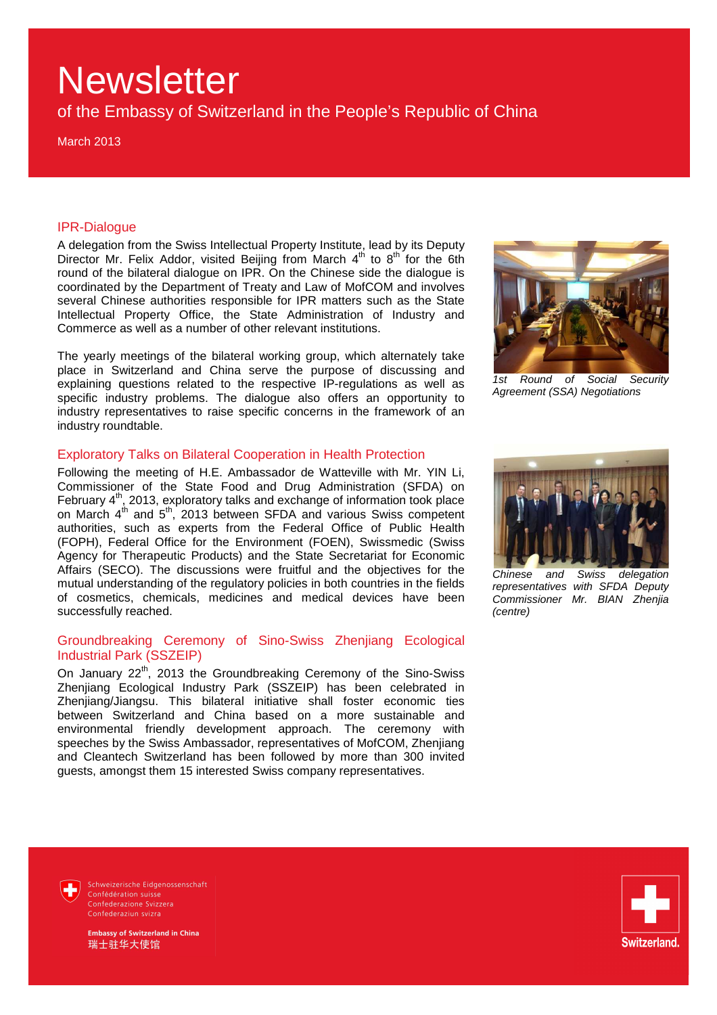of the Embassy of Switzerland in the People's Republic of China

March 2013

#### IPR-Dialogue

A delegation from the Swiss Intellectual Property Institute, lead by its Deputy Director Mr. Felix Addor, visited Beijing from March  $4<sup>th</sup>$  to  $8<sup>th</sup>$  for the 6th round of the bilateral dialogue on IPR. On the Chinese side the dialogue is coordinated by the Department of Treaty and Law of MofCOM and involves several Chinese authorities responsible for IPR matters such as the State Intellectual Property Office, the State Administration of Industry and Commerce as well as a number of other relevant institutions.

The yearly meetings of the bilateral working group, which alternately take place in Switzerland and China serve the purpose of discussing and explaining questions related to the respective IP-regulations as well as specific industry problems. The dialogue also offers an opportunity to industry representatives to raise specific concerns in the framework of an industry roundtable.

### Exploratory Talks on Bilateral Cooperation in Health Protection

Following the meeting of H.E. Ambassador de Watteville with Mr. YIN Li, Commissioner of the State Food and Drug Administration (SFDA) on February 4<sup>th</sup>, 2013, exploratory talks and exchange of information took place on March 4<sup>th</sup> and 5<sup>th</sup>, 2013 between SFDA and various Swiss competent authorities, such as experts from the Federal Office of Public Health (FOPH), Federal Office for the Environment (FOEN), Swissmedic (Swiss Agency for Therapeutic Products) and the State Secretariat for Economic Affairs (SECO). The discussions were fruitful and the objectives for the mutual understanding of the regulatory policies in both countries in the fields of cosmetics, chemicals, medicines and medical devices have been successfully reached.

### Groundbreaking Ceremony of Sino-Swiss Zhenjiang Ecological Industrial Park (SSZEIP)

On January 22<sup>th</sup>, 2013 the Groundbreaking Ceremony of the Sino-Swiss Zhenjiang Ecological Industry Park (SSZEIP) has been celebrated in Zhenjiang/Jiangsu. This bilateral initiative shall foster economic ties between Switzerland and China based on a more sustainable and environmental friendly development approach. The ceremony with speeches by the Swiss Ambassador, representatives of MofCOM, Zhenjiang and Cleantech Switzerland has been followed by more than 300 invited guests, amongst them 15 interested Swiss company representatives.



1st Round of Social Security Agreement (SSA) Negotiations



Chinese and Swiss delegation representatives with SFDA Deputy Commissioner Mr. BIAN Zhenjia (centre)



Schweizerische Fidgenossenschaft Confédération suisse Confederazione Svizzera Confederaziun svizra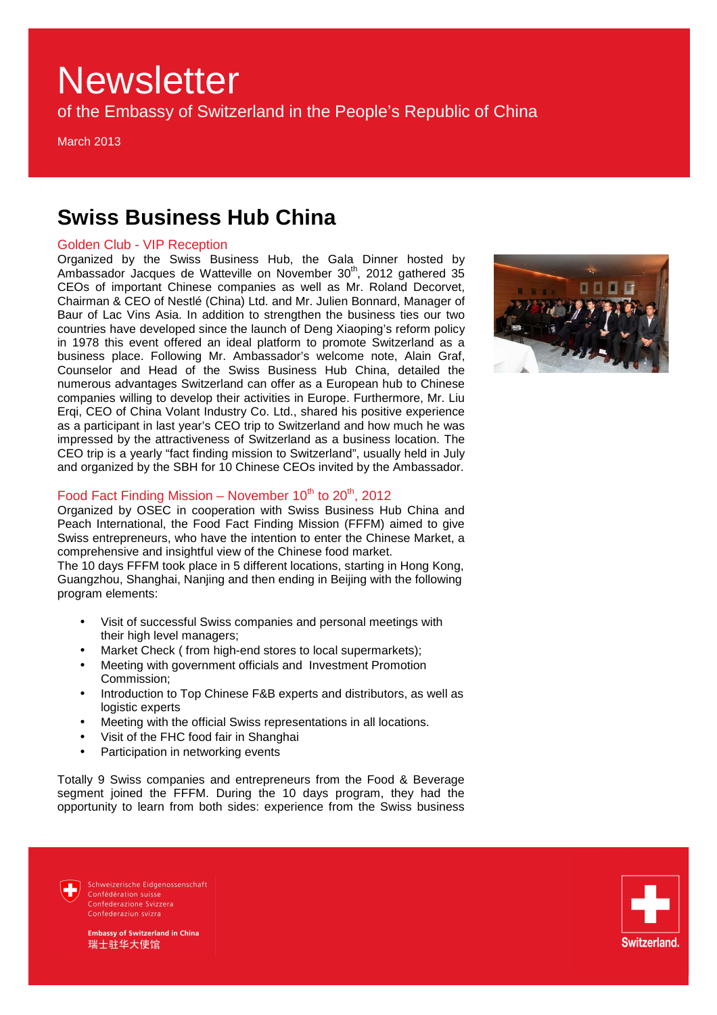of the Embassy of Switzerland in the People's Republic of China

March 2013

# **Swiss Business Hub China**

## Golden Club - VIP Reception

Organized by the Swiss Business Hub, the Gala Dinner hosted by Ambassador Jacques de Watteville on November 30<sup>th</sup>, 2012 gathered 35 CEOs of important Chinese companies as well as Mr. Roland Decorvet, Chairman & CEO of Nestlé (China) Ltd. and Mr. Julien Bonnard, Manager of Baur of Lac Vins Asia. In addition to strengthen the business ties our two countries have developed since the launch of Deng Xiaoping's reform policy in 1978 this event offered an ideal platform to promote Switzerland as a business place. Following Mr. Ambassador's welcome note, Alain Graf, Counselor and Head of the Swiss Business Hub China, detailed the numerous advantages Switzerland can offer as a European hub to Chinese companies willing to develop their activities in Europe. Furthermore, Mr. Liu Erqi, CEO of China Volant Industry Co. Ltd., shared his positive experience as a participant in last year's CEO trip to Switzerland and how much he was impressed by the attractiveness of Switzerland as a business location. The CEO trip is a yearly "fact finding mission to Switzerland", usually held in July and organized by the SBH for 10 Chinese CEOs invited by the Ambassador.

# Food Fact Finding Mission – November  $10^{th}$  to  $20^{th}$ , 2012

Organized by OSEC in cooperation with Swiss Business Hub China and Peach International, the Food Fact Finding Mission (FFFM) aimed to give Swiss entrepreneurs, who have the intention to enter the Chinese Market, a comprehensive and insightful view of the Chinese food market.

The 10 days FFFM took place in 5 different locations, starting in Hong Kong, Guangzhou, Shanghai, Nanjing and then ending in Beijing with the following program elements:

- Visit of successful Swiss companies and personal meetings with their high level managers;
- Market Check ( from high-end stores to local supermarkets);
- Meeting with government officials and Investment Promotion Commission;
- Introduction to Top Chinese F&B experts and distributors, as well as logistic experts
- Meeting with the official Swiss representations in all locations.
- Visit of the FHC food fair in Shanghai
- Participation in networking events

Totally 9 Swiss companies and entrepreneurs from the Food & Beverage segment joined the FFFM. During the 10 days program, they had the opportunity to learn from both sides: experience from the Swiss business





Confédération suisse Confederazione Svizzera Confederaziun svizra

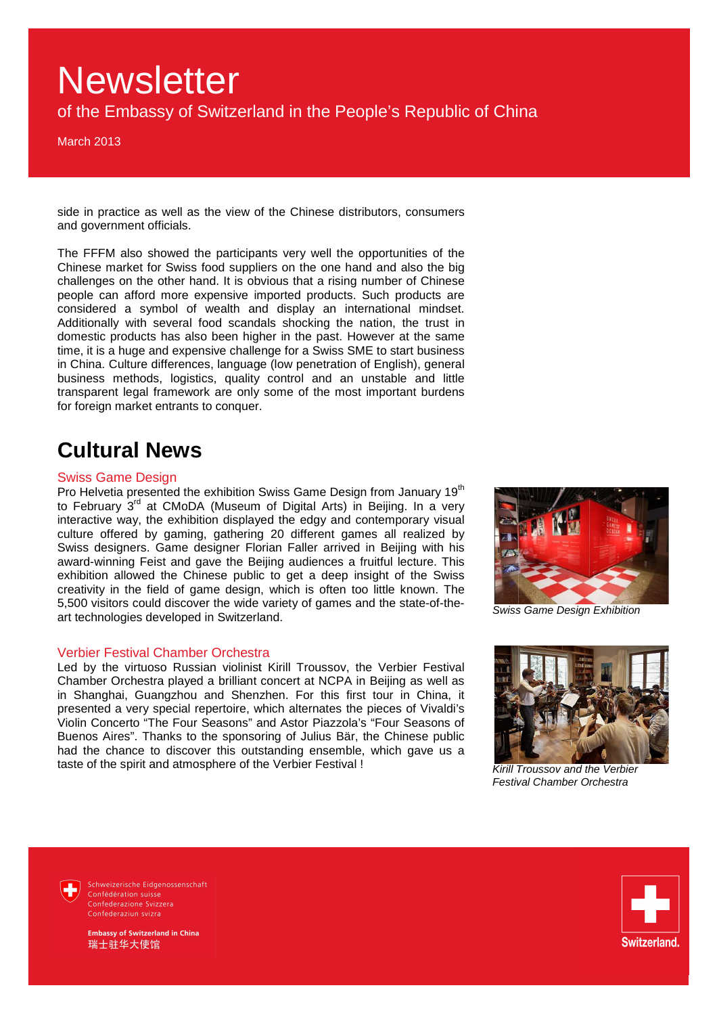of the Embassy of Switzerland in the People's Republic of China

March 2013

side in practice as well as the view of the Chinese distributors, consumers and government officials.

The FFFM also showed the participants very well the opportunities of the Chinese market for Swiss food suppliers on the one hand and also the big challenges on the other hand. It is obvious that a rising number of Chinese people can afford more expensive imported products. Such products are considered a symbol of wealth and display an international mindset. Additionally with several food scandals shocking the nation, the trust in domestic products has also been higher in the past. However at the same time, it is a huge and expensive challenge for a Swiss SME to start business time, it is a huge and expensive challenge for a Swiss SME to start business<br>in China. Culture differences, language (low penetration of English), general business methods, logistics, quality control and an unstable and little transparent legal framework are only some of the most important burdens for foreign market entrants to conquer. for foreign market entrants to conquer.<br> **Cultural News**<br>
Swiss Game Design<br>Pro Helvetia presented the exhibition Swiss Game Design from January 19<sup>th</sup>

# **Cultural News**

### Swiss Game Design

to February 3<sup>rd</sup> at CMoDA (Museum of Digital Arts) in Beijing. In a very interactive way, the exhibition displayed the edgy and contemporary visual culture offered by gaming, gathering 20 different games all realized by Swiss designers. Game designer Florian Faller arrived in Beijing with his Swiss designers. Game designer Florian Faller arrived in Beijing with his<br>award-winning Feist and gave the Beijing audiences a fruitful lecture. This exhibition allowed the Chinese public to get a deep insight of the Swiss creativity in the field of game design, which is often too little known. The 5,500 visitors could discover the wide variety of games and the state-of-theart technologies developed in Switzerland.

#### Verbier Festival Chamber Orchestra

art technologies developed in Switzerland.<br>Verbier Festival Chamber Orchestra<br>Led by the virtuoso Russian violinist Kirill Troussov, the Verbier Festival Chamber Orchestra played a brilliant concert at NCPA in Beijing as well as in Shanghai, Guangzhou and Shenzhen. Shenzhen. For this first tour in China, it presented a very special repertoire, which alternates the pieces of Vivaldi's Violin Concerto "The Four Seasons" and Astor Piazzola's "Four Seasons of Buenos Aires". Thanks to the sponsoring of Julius Bär, the Chinese public had the chance to discover this outstanding ensemble, which gave us a taste of the spirit and atmosphere of the Verbier Festival! in Concerto "The Four Seasons" and Astor Piazzola's "Four Seasons of<br>nos Aires". Thanks to the sponsoring of Julius Bär, the Chinese public<br>the chance to discover this outstanding ensemble, which gave us a



Swiss Game Design Exhibition



Kirill Troussov and the Verbier Festival Chamber Orchestra

Schweizerische Eidgenossenschaft Confédération suisse Confederazione Svizzera Confederaziun svizra

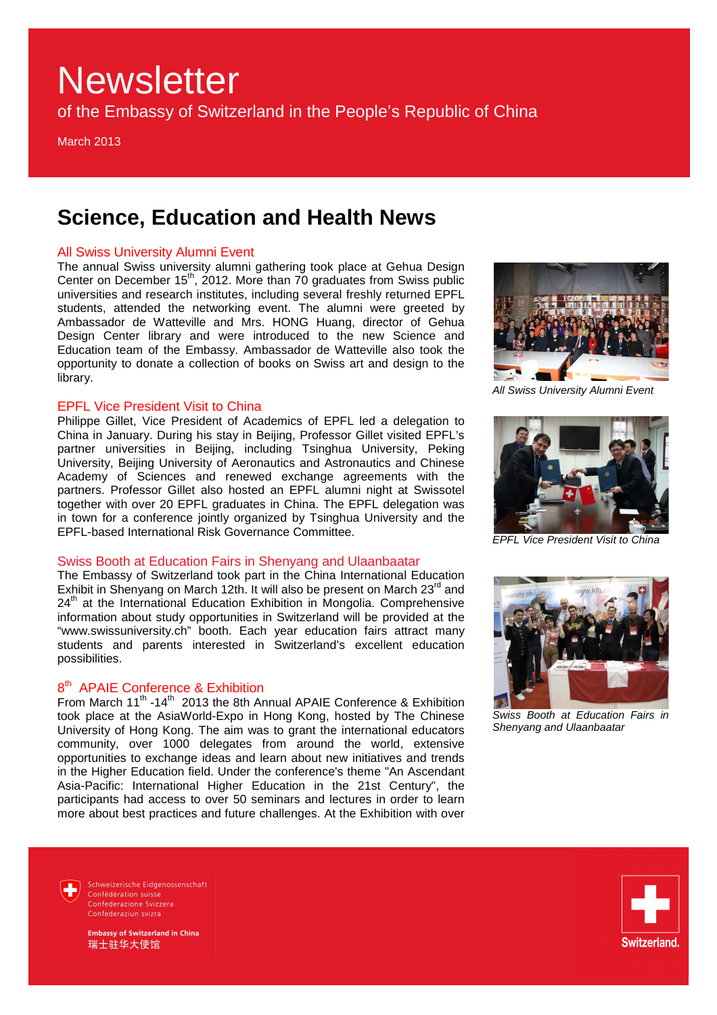of the Embassy of Switzerland in the People's Republic of China

March 2013

# **Science, Education and Health News**

#### All Swiss University Alumni Event

The annual Swiss university alumni gathering took place at Gehua Design Center on December 15<sup>th</sup>, 2012. More than 70 graduates from Swiss public universities and research institutes, including several freshly returned EPFL students, attended the networking event. The alumni were greeted by Ambassador de Watteville and Mrs. HONG Huang, director of Gehua Design Center library and were introduced to the new Science and Education team of the Embassy. Ambassador de Watteville also took the opportunity to donate a collection of books on Swiss art and design to the library.

#### EPFL Vice President Visit to China

Philippe Gillet, Vice President of Academics of EPFL led a delegation to China in January. During his stay in Beijing, Professor Gillet visited EPFL's partner universities in Beijing, including Tsinghua University, Peking University, Beijing University of Aeronautics and Astronautics and Chinese Academy of Sciences and renewed exchange agreements with the partners. Professor Gillet also hosted an EPFL alumni night at Swissotel together with over 20 EPFL graduates in China. The EPFL delegation was in town for a conference jointly organized by Tsinghua University and the EPFL-based International Risk Governance Committee.

### Swiss Booth at Education Fairs in Shenyang and Ulaanbaatar

The Embassy of Switzerland took part in the China International Education Exhibit in Shenyang on March 12th. It will also be present on March 23<sup>rd</sup> and 24<sup>th</sup> at the International Education Exhibition in Mongolia. Comprehensive information about study opportunities in Switzerland will be provided at the "www.swissuniversity.ch" booth. Each year education fairs attract many students and parents interested in Switzerland's excellent education possibilities.

## 8<sup>th</sup> APAIE Conference & Exhibition

From March 11<sup>th</sup> -14<sup>th</sup> 2013 the 8th Annual APAIE Conference & Exhibition took place at the AsiaWorld-Expo in Hong Kong, hosted by The Chinese University of Hong Kong. The aim was to grant the international educators community, over 1000 delegates from around the world, extensive opportunities to exchange ideas and learn about new initiatives and trends in the Higher Education field. Under the conference's theme "An Ascendant Asia-Pacific: International Higher Education in the 21st Century", the participants had access to over 50 seminars and lectures in order to learn more about best practices and future challenges. At the Exhibition with over



All Swiss University Alumni Event



EPFL Vice President Visit to China



Swiss Booth at Education Fairs in Shenyang and Ulaanbaatar

Schweizerische Fidgenossenschaft Confédération suisse Confederazione Svizzera Confederaziun svizra

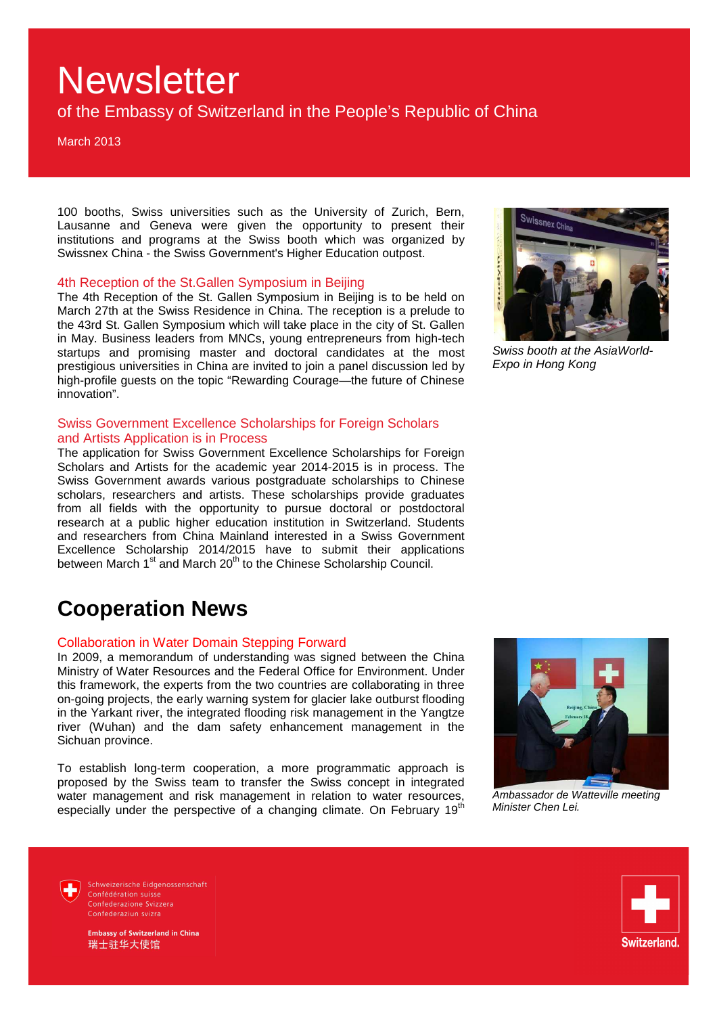of the Embassy of Switzerland in the People's Republic of China

March 2013

100 booths, Swiss universities such as the University of Zurich, Bern, Lausanne and Geneva were given the opportunity to present their institutions and programs at the Swiss booth which was organized by Swissnex China - the Swiss Government's Higher Education outpost.

#### 4th Reception of the St.Gallen Symposium in Beijing

The 4th Reception of the St. Gallen Symposium in Beijing is to be held on March 27th at the Swiss Residence in China. The reception is a prelude to the 43rd St. Gallen Symposium which will take place in the city of St. Gallen in May. Business leaders from MNCs, young entrepreneurs from high-tech startups and promising master and doctoral candidates at the most prestigious universities in China are invited to join a panel discussion led by high-profile guests on the topic "Rewarding Courage—the future of Chinese innovation".

### Swiss Government Excellence Scholarships for Foreign Scholars and Artists Application is in Process

The application for Swiss Government Excellence Scholarships for Foreign Scholars and Artists for the academic year 2014-2015 is in process. The Swiss Government awards various postgraduate scholarships to Chinese scholars, researchers and artists. These scholarships provide graduates from all fields with the opportunity to pursue doctoral or postdoctoral research at a public higher education institution in Switzerland. Students and researchers from China Mainland interested in a Swiss Government Excellence Scholarship 2014/2015 have to submit their applications between March 1<sup>st</sup> and March 20<sup>th</sup> to the Chinese Scholarship Council.

# **Cooperation News**

#### Collaboration in Water Domain Stepping Forward

In 2009, a memorandum of understanding was signed between the China Ministry of Water Resources and the Federal Office for Environment. Under this framework, the experts from the two countries are collaborating in three on-going projects, the early warning system for glacier lake outburst flooding in the Yarkant river, the integrated flooding risk management in the Yangtze river (Wuhan) and the dam safety enhancement management in the Sichuan province.

To establish long-term cooperation, a more programmatic approach is proposed by the Swiss team to transfer the Swiss concept in integrated water management and risk management in relation to water resources, especially under the perspective of a changing climate. On February 19<sup>th</sup>



Ambassador de Watteville meeting Minister Chen Lei.

Schweizerische Fidgenossenschaft Confédération suisse Confederazione Svizzera Confederaziun svizra



Swiss booth at the AsiaWorld-Expo in Hong Kong

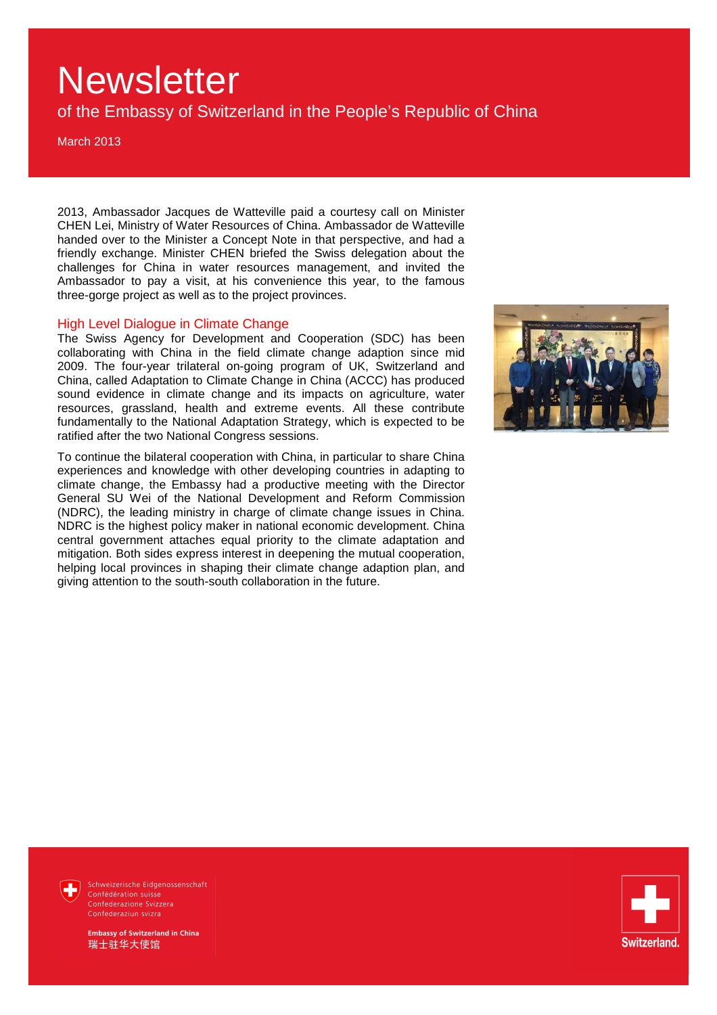of the Embassy of Switzerland in the People's Republic of China

March 2013

2013, Ambassador Jacques de Watteville paid a courtesy call on Minister CHEN Lei, Ministry of Water Resources of China. Ambassador de Watteville handed over to the Minister a Concept Note in that perspective, and had a friendly exchange. Minister CHEN briefed the Swiss delegation about the challenges for China in water resources management, and invited the Ambassador to pay a visit, at his convenience this year, to the famous three-gorge project as well as to the project provinces.

#### High Level Dialogue in Climate Change

The Swiss Agency for Development and Cooperation (SDC) has been collaborating with China in the field climate change adaption since mid 2009. The four-year trilateral on-going program of UK, Switzerland and China, called Adaptation to Climate Change in China (ACCC) has produced sound evidence in climate change and its impacts on agriculture, water resources, grassland, health and extreme events. All these contribute fundamentally to the National Adaptation Strategy, which is expected to be ratified after the two National Congress sessions.

To continue the bilateral cooperation with China, in particular to share China experiences and knowledge with other developing countries in adapting to climate change, the Embassy had a productive meeting with the Director General SU Wei of the National Development and Reform Commission (NDRC), the leading ministry in charge of climate change issues in China. NDRC is the highest policy maker in national economic development. China central government attaches equal priority to the climate adaptation and mitigation. Both sides express interest in deepening the mutual cooperation, helping local provinces in shaping their climate change adaption plan, and giving attention to the south-south collaboration in the future.





Schweizerische Eidgenossenschaft Confédération suisse Confederazione Svizzera Confederaziun svizra